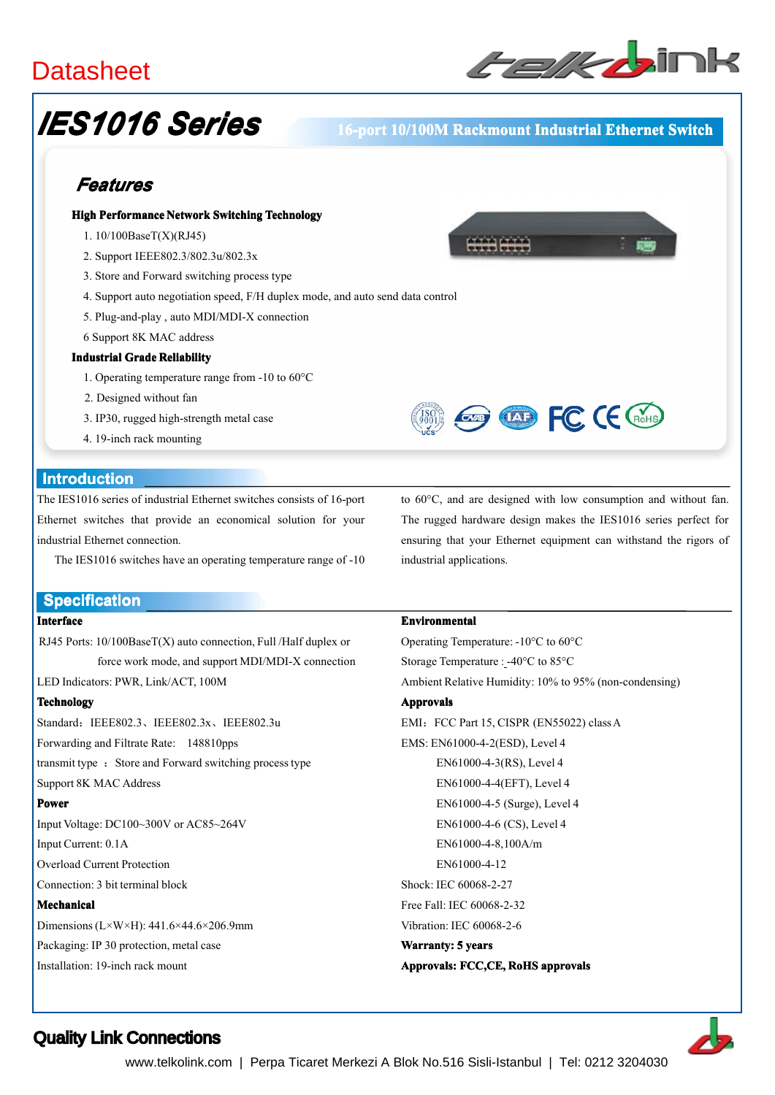## **Datasheet**



# *IES1016 Series*

### **16-port 16-port 10/100M 10/100M Rackmount Industrial Industrial Ethernet Switch**

## *Features*

#### **High Performance Network Network Switching Switching Technology Technology**

- 1. 10/100BaseT(X)(RJ45)
- 2. Support IEEE802.3/802.3u/802.3x
- 3. Store and Forward switching process type
- 4. Support auto negotiation speed, F/H duplex mode, and auto send data control
- 5. Plug-and-play , auto MDI/MDI-X connection
- 6 Support 8K MAC address

#### **Industrial Industrial Grade Reliability Reliability**

- 1. Operating temperature range from -10 to 60°C
- 2. Designed without fan
- 3. IP30, rugged high-strength metal case
- 4. 19-inch rack mounting

#### **Introduction Introduction**

The IES1016 series of industrial Ethernet switches consists of 16-port Ethernet switches that provide an economical solution for your industrial Ethernet connection.

The IES1016 switches have an operating temperature range of -10

#### **Specification Specification**

#### **Interface**

RJ45 Ports:  $10/100BaseT(X)$  auto connection, Full /Half duplex or force work mode, and suppor<sup>t</sup> MDI/MDI-X connection

LED Indicators: PWR, Link/ACT, 100M

#### **Technology**

Standard: IEEE802.3、IEEE802.3x、IEEE802.3u Forwarding and Filtrate Rate: 148810pps transmit type : Store and Forward switching process type Support 8K MAC Address **Power** Input Voltage: DC100~300V or AC85~264V Input Current: 0.1A

Overload Current Protection

Connection: 3 bit terminal block

#### **Mechanical**

Dimensions(L×W×H): 441.6×44.6×206.9mm

Packaging: IP 30 protection, metal case

Installation: 19-inch rack mount

to 60°C, and are designed with low consumption and without fan. The rugged hardware design makes the IES1016 series perfect for ensuring that your Ethernet equipment can withstand the rigors of industrial applications.

**Exp (DD) FC (E GoHS)** 

#### **Environmental**

Operating Temperature: -10°C to 60°C Storage Temperature : -40°C to 85°C Ambient Relative Humidity: 10% to 95% (non-condensing) **Approvals** EMI: FCC Part 15, CISPR (EN55022) class A EMS: EN61000-4-2(ESD), Level 4 EN61000-4-3(RS), Level 4 EN61000-4-4(EFT), Level 4 EN61000-4-5 (Surge), Level 4 EN61000-4-6 (CS), Level 4 EN61000-4-8,100A/m EN61000-4-12 Shock: IEC 60068-2-27 Free Fall: IEC 60068-2-32 Vibration: IEC 60068-2-6 **Warranty: 5 years Approvals: Approvals: FCC,CE, FCC,CE, RoHS approvals**



## Quality Link Connections